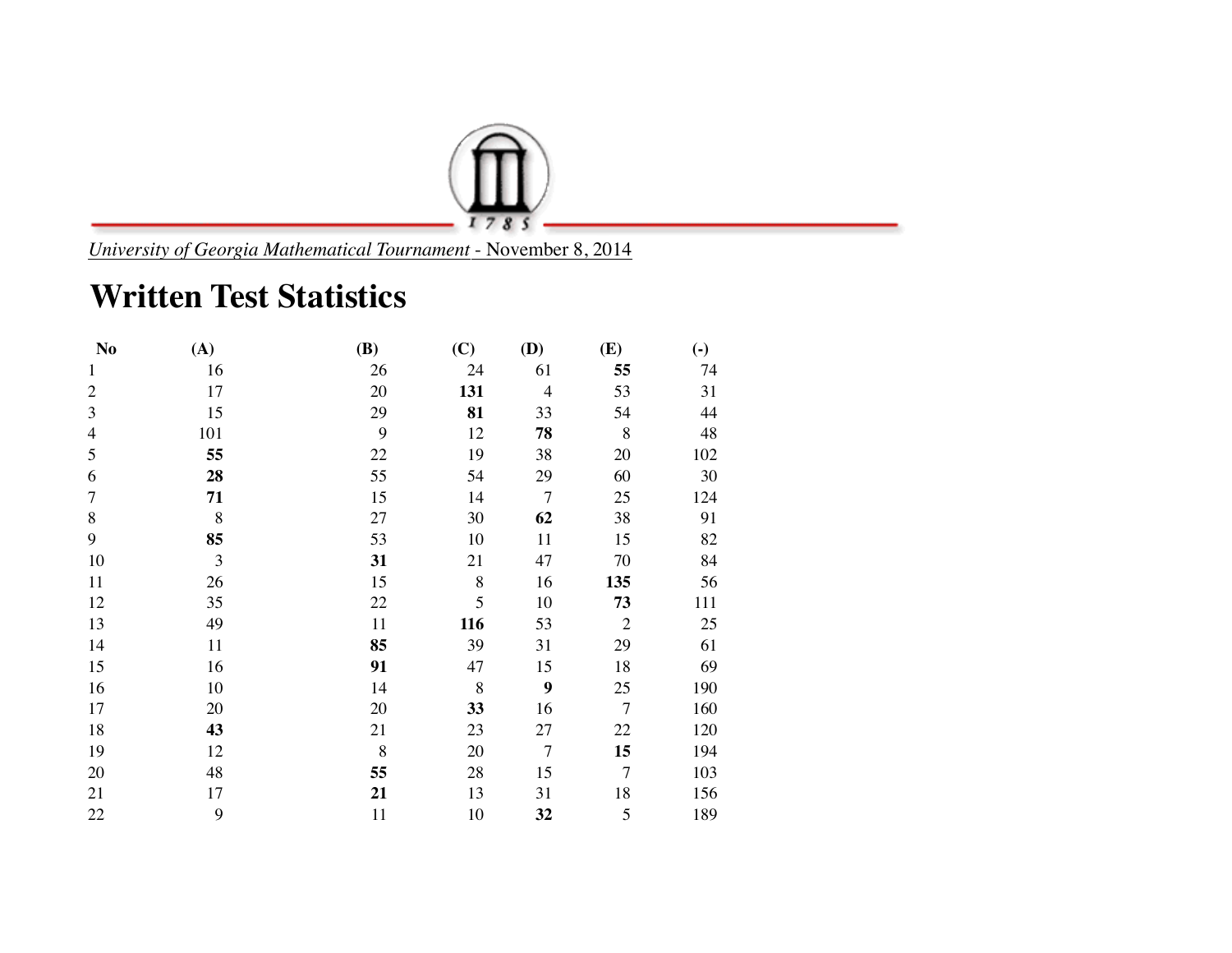

*University of Georgia Mathematical Tournament* - November 8, 2014

## **Written Test Statistics**

| N <sub>o</sub> | (A)     | <b>(B)</b> | (C)   | (D)            | (E)            | $\left( \cdot \right)$ |
|----------------|---------|------------|-------|----------------|----------------|------------------------|
| $\mathbf{1}$   | 16      | 26         | 24    | 61             | 55             | 74                     |
| $\overline{2}$ | 17      | 20         | 131   | $\overline{4}$ | 53             | 31                     |
| 3              | 15      | 29         | 81    | 33             | 54             | 44                     |
| $\overline{4}$ | 101     | 9          | 12    | 78             | 8              | 48                     |
| 5              | 55      | 22         | 19    | 38             | 20             | 102                    |
| 6              | 28      | 55         | 54    | 29             | 60             | 30                     |
| $\tau$         | 71      | 15         | 14    | $\overline{7}$ | 25             | 124                    |
| $8\,$          | $\,8\,$ | 27         | 30    | 62             | 38             | 91                     |
| 9              | 85      | 53         | 10    | 11             | 15             | 82                     |
| 10             | 3       | 31         | 21    | 47             | 70             | 84                     |
| 11             | 26      | 15         | $8\,$ | 16             | 135            | 56                     |
| 12             | 35      | 22         | 5     | 10             | 73             | 111                    |
| 13             | 49      | 11         | 116   | 53             | $\overline{2}$ | 25                     |
| 14             | 11      | 85         | 39    | 31             | 29             | 61                     |
| 15             | 16      | 91         | 47    | 15             | 18             | 69                     |
| 16             | 10      | 14         | 8     | 9              | 25             | 190                    |
| 17             | 20      | 20         | 33    | 16             | $\overline{7}$ | 160                    |
| 18             | 43      | 21         | 23    | 27             | 22             | 120                    |
| 19             | 12      | 8          | 20    | $\overline{7}$ | 15             | 194                    |
| 20             | 48      | 55         | 28    | 15             | $\overline{7}$ | 103                    |
| 21             | 17      | 21         | 13    | 31             | 18             | 156                    |
| 22             | 9       | 11         | 10    | 32             | 5              | 189                    |